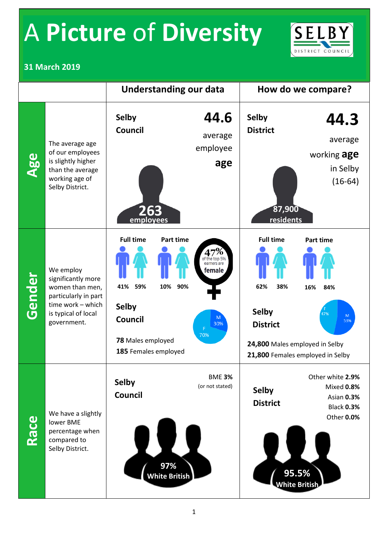## A **Picture** of **Diversity**



#### **31 March 2019**

|        |                                                                                                                                       | <b>Understanding our data</b>                                                                                                                   |                                                           | How do we compare?                                                                                  |                                                                                       |
|--------|---------------------------------------------------------------------------------------------------------------------------------------|-------------------------------------------------------------------------------------------------------------------------------------------------|-----------------------------------------------------------|-----------------------------------------------------------------------------------------------------|---------------------------------------------------------------------------------------|
| Age    | The average age<br>of our employees<br>is slightly higher<br>than the average<br>working age of<br>Selby District.                    | <b>Selby</b><br><b>Council</b><br>263<br>employees                                                                                              | 44.6<br>average<br>employee<br>age                        | <b>Selby</b><br><b>District</b><br>87,900<br>residents                                              | 44.3<br>average<br>working age<br>in Selby<br>$(16-64)$                               |
| Gender | We employ<br>significantly more<br>women than men,<br>particularly in part<br>time work - which<br>is typical of local<br>government. | <b>Full time</b><br><b>Part time</b><br>59%<br>90%<br>41%<br>10%<br><b>Selby</b><br><b>Council</b><br>78 Males employed<br>185 Females employed | of the top 5%<br>earners are<br>female<br>M<br>30%<br>70% | <b>Full time</b><br>62%<br>38%<br><b>Selby</b><br><b>District</b><br>24,800 Males employed in Selby | <b>Part time</b><br>16%<br>84%<br>47%<br>M<br>53%<br>21,800 Females employed in Selby |
| Race   | We have a slightly<br>lower BME<br>percentage when<br>compared to<br>Selby District.                                                  | <b>Selby</b><br><b>Council</b><br>97%<br><b>White British</b>                                                                                   | <b>BME 3%</b><br>(or not stated)                          | <b>Selby</b><br><b>District</b><br>95.5%<br><b>White British</b>                                    | Other white 2.9%<br>Mixed 0.8%<br>Asian 0.3%<br><b>Black 0.3%</b><br>Other 0.0%       |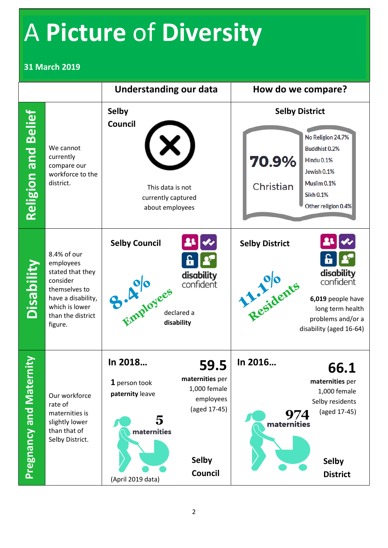### A **Picture** of **Diversity**

#### **31 March 2019**

|                             |                                                                                                                                                   | <b>Understanding our data</b>                                                               |                                                                                                        | How do we compare?                                                                                                                                                              |  |
|-----------------------------|---------------------------------------------------------------------------------------------------------------------------------------------------|---------------------------------------------------------------------------------------------|--------------------------------------------------------------------------------------------------------|---------------------------------------------------------------------------------------------------------------------------------------------------------------------------------|--|
| <b>Religion and Belief</b>  | We cannot<br>currently<br>compare our<br>workforce to the<br>district.                                                                            | <b>Selby</b><br><b>Council</b><br>This data is not<br>currently captured<br>about employees |                                                                                                        | <b>Selby District</b><br>No Religion 24.7%<br><b>Buddhist 0.2%</b><br>70.9%<br>Hindu 0.1%<br>Jewish 0.1%<br>Muslim 0.1%<br>Christian<br><b>Sikh 0.1%</b><br>Other religion 0.4% |  |
| Disability                  | 8.4% of our<br>employees<br>stated that they<br>consider<br>themselves to<br>have a disability,<br>which is lower<br>than the district<br>figure. | <b>Selby Council</b><br>Employees<br>disability                                             | 6<br>disability<br>confident<br>declared a                                                             | <b>Selby District</b><br>ĥ<br>disability<br>Residents<br>confident<br>6,019 people have<br>long term health<br>problems and/or a<br>disability (aged 16-64)                     |  |
| <b>Pregnancy and Materr</b> | Our workforce<br>rate of<br>maternities is<br>slightly lower<br>than that of<br>Selby District.                                                   | In 2018<br>1 person took<br>paternity leave<br>5<br>maternities<br>(April 2019 data)        | 59.5<br>maternities per<br>1,000 female<br>employees<br>(aged 17-45)<br><b>Selby</b><br><b>Council</b> | In 2016<br>66.1<br>maternities per<br>1,000 female<br>Selby residents<br>(aged 17-45)<br>974<br>maternities<br><b>Selby</b><br><b>District</b>                                  |  |